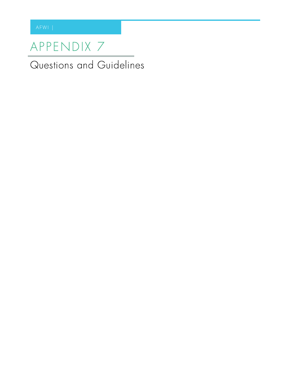# APPENDIX 7

Questions and Guidelines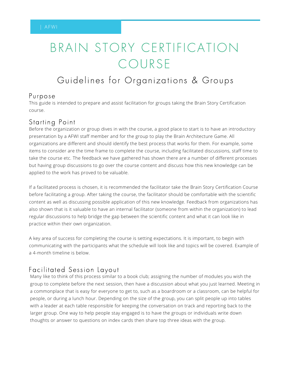# BRAIN STORY CERTIFICATION COURSE

# Guidelines for Organizations & Groups

#### Purpose

This guide is intended to prepare and assist facilitation for groups taking the Brain Story Certification course.

### Starting Point

Before the organization or group dives in with the course, a good place to start is to have an introductory presentation by a AFWI staff member and for the group to play the Brain Architecture Game. All organizations are different and should identify the best process that works for them. For example, some items to consider are the time frame to complete the course, including facilitated discussions, staff time to take the course etc. The feedback we have gathered has shown there are a number of different processes but having group discussions to go over the course content and discuss how this new knowledge can be applied to the work has proved to be valuable.

If a facilitated process is chosen, it is recommended the facilitator take the Brain Story Certification Course before facilitating a group. After taking the course, the facilitator should be comfortable with the scientific content as well as discussing possible application of this new knowledge. Feedback from organizations has also shown that is it valuable to have an internal facilitator (someone from within the organization) to lead regular discussions to help bridge the gap between the scientific content and what it can look like in practice within their own organization.

A key area of success for completing the course is setting expectations. It is important, to begin with communicating with the participants what the schedule will look like and topics will be covered. Example of a 4-month timeline is below.

## Facilitated Session Layout

Many like to think of this process similar to a book club; assigning the number of modules you wish the group to complete before the next session, then have a discussion about what you just learned. Meeting in a commonplace that is easy for everyone to get to, such as a boardroom or a classroom, can be helpful for people, or during a lunch hour. Depending on the size of the group, you can split people up into tables with a leader at each table responsible for keeping the conversation on track and reporting back to the larger group. One way to help people stay engaged is to have the groups or individuals write down thoughts or answer to questions on index cards then share top three ideas with the group.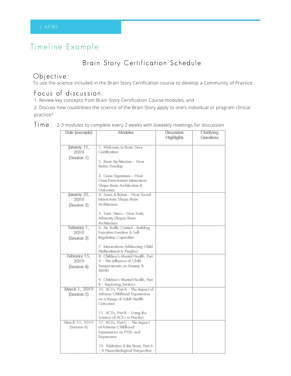# Timeline Example

## Brain Story Certification Schedule

 $\bigcirc$   $\bigcirc$   $\bigcirc$  and<br> $\bigcirc$  included in the Brain Story Certification course to develop a Community of Practice.

### Focus of discussion:

1. Review key concepts from Brain Story Certification Course modules, and

2. Discuss how could/does the science of the Brain Story apply to one's individual or program clinical practice?

| Date (example)                | Modules                                                         | Discussion | Claritying |
|-------------------------------|-----------------------------------------------------------------|------------|------------|
|                               |                                                                 | Highlights | Questions  |
| January 11,                   | 1. Welcome to Brain Story                                       |            |            |
| 2019                          | Cartification                                                   |            |            |
| (Session 1)                   |                                                                 |            |            |
|                               | 2. Brain Architecture - How                                     |            |            |
|                               | Brains Develop                                                  |            |            |
|                               | 3. Gene Signatures - How                                        |            |            |
|                               | Gene-Environment Interactions                                   |            |            |
|                               | Shape Brain Architecture &                                      |            |            |
|                               | Outcomas                                                        |            |            |
| January 25,                   | 4. Serve & Return - How Social                                  |            |            |
| 2019                          | Interactions Shape Brain<br>Architecture                        |            |            |
| (Session 2)                   |                                                                 |            |            |
|                               | 5. Taxic Stress - How Early                                     |            |            |
|                               | Adversity Shapes Brain                                          |            |            |
|                               | Architecture                                                    |            |            |
| February 1,<br>2019           | 6. Air Traffic Control - Building<br>Executive Function & Self- |            |            |
|                               | Regulation Capacities                                           |            |            |
| (Session 3)                   |                                                                 |            |            |
|                               | 7. Interventions Addressing Child                               |            |            |
|                               | Maltreatment & Neglect                                          |            |            |
| February 15,                  | 8. Children's Mental Health, Part                               |            |            |
| 2019                          | A – The Influence of Child                                      |            |            |
| (Session 4)                   | Temperaments on Anxiety &<br><b>ADHID</b>                       |            |            |
|                               |                                                                 |            |            |
|                               | 9. Children's Mental Health, Part                               |            |            |
|                               | B - Improving Services                                          |            |            |
| March 1, 2019                 | 10. ACEs, Part A - The Impact of                                |            |            |
| (Session 5)                   | Advarse Childhood Experiences<br>on a Range of Adult Health     |            |            |
|                               | Outcomas                                                        |            |            |
|                               |                                                                 |            |            |
|                               | 11. ACEs, Part B - Using the                                    |            |            |
|                               | Science of ACEs in Practice                                     |            |            |
| March 15, 2019<br>(Session 6) | 12. ACEs, Part C - The Impact<br>of Adverse Childhood           |            |            |
|                               | Experiences on PTSD and                                         |            |            |
|                               | Depression                                                      |            |            |
|                               |                                                                 |            |            |
|                               | 13. Addiction & the Brain, Part A                               |            |            |
|                               | – A Naurobiological Paspective                                  |            |            |

Time: 2-3 modules to complete every 2 weeks with biweekly meetings for discussion